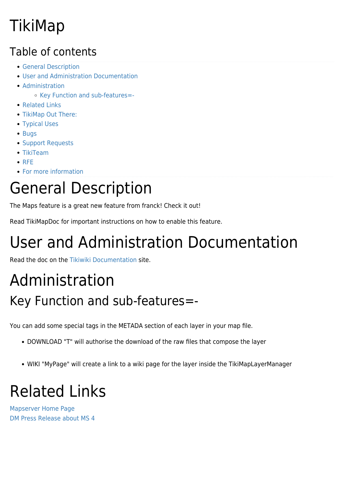## TikiMap

#### Table of contents

- **[General Description](#page--1-0)**
- [User and Administration Documentation](#page--1-0)
- [Administration](#page--1-0)
	- [Key Function and sub-features=-](#page--1-0)
- [Related Links](#page--1-0)
- [TikiMap Out There:](#page--1-0)
- [Typical Uses](#page--1-0)
- [Bugs](#page--1-0)
- [Support Requests](#page--1-0)
- [TikiTeam](#page--1-0)
- $\bullet$  [RFE](#page--1-0)
- [For more information](#page--1-0)

# General Description

The Maps feature is a great new feature from franck! Check it out!

Read TikiMapDoc for important instructions on how to enable this feature.

# User and Administration Documentation

Read the doc on the [Tikiwiki Documentation](http://doc.tiki.org/tiki-index.php?page=maps) site.

#### Administration Key Function and sub-features=-

You can add some special tags in the METADA section of each layer in your map file.

- DOWNLOAD "T" will authorise the download of the raw files that compose the layer
- WIKI "MyPage" will create a link to a wiki page for the layer inside the TikiMapLayerManager

# Related Links

[Mapserver Home Page](http://mapserver.gis.umn.edu/) [DM Press Release about MS 4](http://www.directionsmag.com/pressreleases.php?press_id=7641)